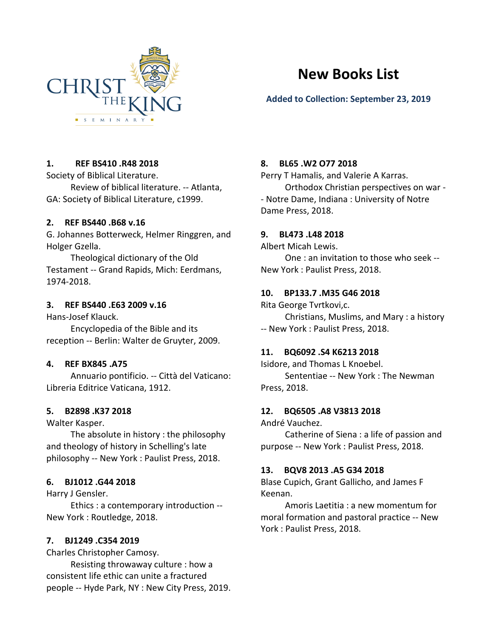

# **New Books List**

# **Added to Collection: September 23, 2019**

# **1. REF BS410 .R48 2018**

Society of Biblical Literature. Review of biblical literature. -- Atlanta, GA: Society of Biblical Literature, c1999.

# **2. REF BS440 .B68 v.16**

G. Johannes Botterweck, Helmer Ringgren, and Holger Gzella.

Theological dictionary of the Old Testament -- Grand Rapids, Mich: Eerdmans, 1974-2018.

# **3. REF BS440 .E63 2009 v.16**

Hans-Josef Klauck.

Encyclopedia of the Bible and its reception -- Berlin: Walter de Gruyter, 2009.

# **4. REF BX845 .A75**

Annuario pontificio. -- Città del Vaticano: Libreria Editrice Vaticana, 1912.

# **5. B2898 .K37 2018**

Walter Kasper.

The absolute in history : the philosophy and theology of history in Schelling's late philosophy -- New York : Paulist Press, 2018.

# **6. BJ1012 .G44 2018**

Harry J Gensler.

Ethics : a contemporary introduction -- New York : Routledge, 2018.

# **7. BJ1249 .C354 2019**

Charles Christopher Camosy.

Resisting throwaway culture : how a consistent life ethic can unite a fractured people -- Hyde Park, NY : New City Press, 2019.

# **8. BL65 .W2 O77 2018**

Perry T Hamalis, and Valerie A Karras. Orthodox Christian perspectives on war - - Notre Dame, Indiana : University of Notre Dame Press, 2018.

# **9. BL473 .L48 2018**

Albert Micah Lewis.

One : an invitation to those who seek -- New York : Paulist Press, 2018.

# **10. BP133.7 .M35 G46 2018**

Rita George Tvrtkovi,c.

Christians, Muslims, and Mary : a history -- New York : Paulist Press, 2018.

# **11. BQ6092 .S4 K6213 2018**

Isidore, and Thomas L Knoebel. Sententiae -- New York : The Newman Press, 2018.

# **12. BQ6505 .A8 V3813 2018**

André Vauchez.

Catherine of Siena : a life of passion and purpose -- New York : Paulist Press, 2018.

# **13. BQV8 2013 .A5 G34 2018**

Blase Cupich, Grant Gallicho, and James F Keenan.

Amoris Laetitia : a new momentum for moral formation and pastoral practice -- New York : Paulist Press, 2018.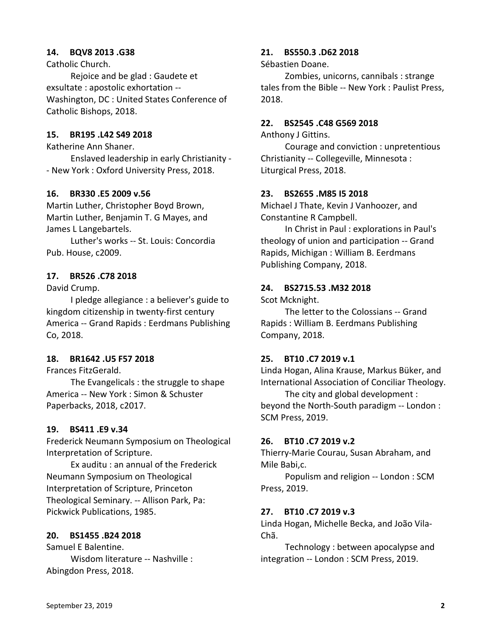## **14. BQV8 2013 .G38**

Catholic Church.

Rejoice and be glad : Gaudete et exsultate : apostolic exhortation -- Washington, DC : United States Conference of Catholic Bishops, 2018.

## **15. BR195 .L42 S49 2018**

Katherine Ann Shaner.

Enslaved leadership in early Christianity - - New York : Oxford University Press, 2018.

#### **16. BR330 .E5 2009 v.56**

Martin Luther, Christopher Boyd Brown, Martin Luther, Benjamin T. G Mayes, and James L Langebartels.

Luther's works -- St. Louis: Concordia Pub. House, c2009.

# **17. BR526 .C78 2018**

David Crump.

I pledge allegiance : a believer's guide to kingdom citizenship in twenty-first century America -- Grand Rapids : Eerdmans Publishing Co, 2018.

#### **18. BR1642 .U5 F57 2018**

Frances FitzGerald.

The Evangelicals : the struggle to shape America -- New York : Simon & Schuster Paperbacks, 2018, c2017.

#### **19. BS411 .E9 v.34**

Frederick Neumann Symposium on Theological Interpretation of Scripture.

Ex auditu : an annual of the Frederick Neumann Symposium on Theological Interpretation of Scripture, Princeton Theological Seminary. -- Allison Park, Pa: Pickwick Publications, 1985.

# **20. BS1455 .B24 2018**

Samuel E Balentine. Wisdom literature -- Nashville : Abingdon Press, 2018.

#### **21. BS550.3 .D62 2018**

Sébastien Doane.

Zombies, unicorns, cannibals : strange tales from the Bible -- New York : Paulist Press, 2018.

#### **22. BS2545 .C48 G569 2018**

Anthony J Gittins.

Courage and conviction : unpretentious Christianity -- Collegeville, Minnesota : Liturgical Press, 2018.

#### **23. BS2655 .M85 I5 2018**

Michael J Thate, Kevin J Vanhoozer, and Constantine R Campbell.

In Christ in Paul : explorations in Paul's theology of union and participation -- Grand Rapids, Michigan : William B. Eerdmans Publishing Company, 2018.

#### **24. BS2715.53 .M32 2018**

Scot Mcknight.

The letter to the Colossians -- Grand Rapids : William B. Eerdmans Publishing Company, 2018.

#### **25. BT10 .C7 2019 v.1**

Linda Hogan, Alina Krause, Markus Büker, and International Association of Conciliar Theology.

The city and global development : beyond the North-South paradigm -- London : SCM Press, 2019.

#### **26. BT10 .C7 2019 v.2**

Thierry-Marie Courau, Susan Abraham, and Mile Babi,c.

Populism and religion -- London : SCM Press, 2019.

#### **27. BT10 .C7 2019 v.3**

Linda Hogan, Michelle Becka, and João Vila-Chã.

Technology : between apocalypse and integration -- London : SCM Press, 2019.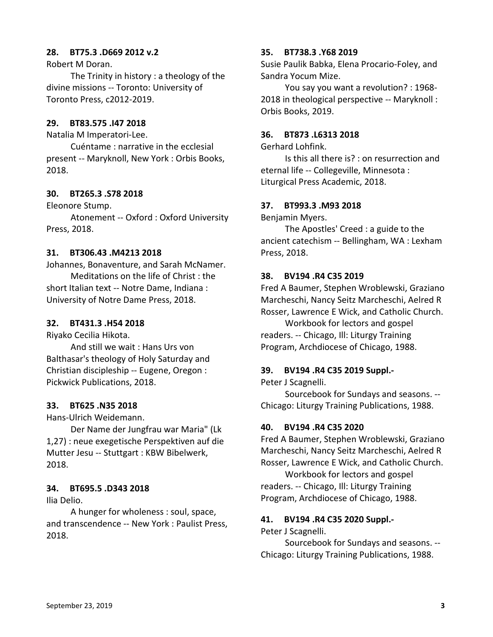#### **28. BT75.3 .D669 2012 v.2**

Robert M Doran.

The Trinity in history : a theology of the divine missions -- Toronto: University of Toronto Press, c2012-2019.

#### **29. BT83.575 .I47 2018**

Natalia M Imperatori-Lee.

Cuéntame : narrative in the ecclesial present -- Maryknoll, New York : Orbis Books, 2018.

#### **30. BT265.3 .S78 2018**

Eleonore Stump.

Atonement -- Oxford : Oxford University Press, 2018.

#### **31. BT306.43 .M4213 2018**

Johannes, Bonaventure, and Sarah McNamer. Meditations on the life of Christ : the

short Italian text -- Notre Dame, Indiana : University of Notre Dame Press, 2018.

# **32. BT431.3 .H54 2018**

Riyako Cecilia Hikota.

And still we wait : Hans Urs von Balthasar's theology of Holy Saturday and Christian discipleship -- Eugene, Oregon : Pickwick Publications, 2018.

# **33. BT625 .N35 2018**

Hans-Ulrich Weidemann.

Der Name der Jungfrau war Maria" (Lk 1,27) : neue exegetische Perspektiven auf die Mutter Jesu -- Stuttgart : KBW Bibelwerk, 2018.

# **34. BT695.5 .D343 2018**

Ilia Delio.

A hunger for wholeness : soul, space, and transcendence -- New York : Paulist Press, 2018.

#### **35. BT738.3 .Y68 2019**

Susie Paulik Babka, Elena Procario-Foley, and Sandra Yocum Mize.

You say you want a revolution? : 1968- 2018 in theological perspective -- Maryknoll : Orbis Books, 2019.

#### **36. BT873 .L6313 2018**

Gerhard Lohfink.

Is this all there is? : on resurrection and eternal life -- Collegeville, Minnesota : Liturgical Press Academic, 2018.

#### **37. BT993.3 .M93 2018**

Benjamin Myers.

The Apostles' Creed : a guide to the ancient catechism -- Bellingham, WA : Lexham Press, 2018.

#### **38. BV194 .R4 C35 2019**

Fred A Baumer, Stephen Wroblewski, Graziano Marcheschi, Nancy Seitz Marcheschi, Aelred R Rosser, Lawrence E Wick, and Catholic Church.

Workbook for lectors and gospel readers. -- Chicago, Ill: Liturgy Training Program, Archdiocese of Chicago, 1988.

#### **39. BV194 .R4 C35 2019 Suppl.-**

Peter J Scagnelli.

Sourcebook for Sundays and seasons. -- Chicago: Liturgy Training Publications, 1988.

# **40. BV194 .R4 C35 2020**

Fred A Baumer, Stephen Wroblewski, Graziano Marcheschi, Nancy Seitz Marcheschi, Aelred R Rosser, Lawrence E Wick, and Catholic Church.

Workbook for lectors and gospel readers. -- Chicago, Ill: Liturgy Training Program, Archdiocese of Chicago, 1988.

# **41. BV194 .R4 C35 2020 Suppl.-**

Peter J Scagnelli.

Sourcebook for Sundays and seasons. -- Chicago: Liturgy Training Publications, 1988.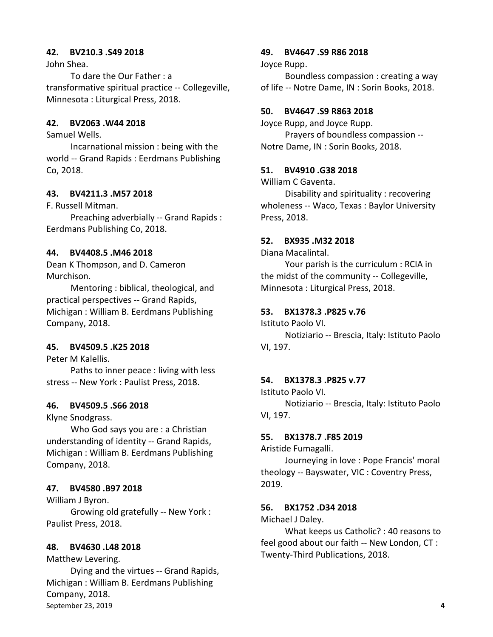#### **42. BV210.3 .S49 2018**

John Shea.

To dare the Our Father : a transformative spiritual practice -- Collegeville, Minnesota : Liturgical Press, 2018.

## **42. BV2063 .W44 2018**

Samuel Wells.

Incarnational mission : being with the world -- Grand Rapids : Eerdmans Publishing Co, 2018.

# **43. BV4211.3 .M57 2018**

F. Russell Mitman.

Preaching adverbially -- Grand Rapids : Eerdmans Publishing Co, 2018.

# **44. BV4408.5 .M46 2018**

Dean K Thompson, and D. Cameron Murchison.

Mentoring : biblical, theological, and practical perspectives -- Grand Rapids, Michigan : William B. Eerdmans Publishing Company, 2018.

# **45. BV4509.5 .K25 2018**

Peter M Kalellis.

Paths to inner peace : living with less stress -- New York : Paulist Press, 2018.

# **46. BV4509.5 .S66 2018**

Klyne Snodgrass.

Who God says you are : a Christian understanding of identity -- Grand Rapids, Michigan : William B. Eerdmans Publishing Company, 2018.

# **47. BV4580 .B97 2018**

William J Byron.

Growing old gratefully -- New York : Paulist Press, 2018.

# **48. BV4630 .L48 2018**

Matthew Levering.

September 23, 2019 **4** Dying and the virtues -- Grand Rapids, Michigan : William B. Eerdmans Publishing Company, 2018.

# **49. BV4647 .S9 R86 2018**

Joyce Rupp.

Boundless compassion : creating a way of life -- Notre Dame, IN : Sorin Books, 2018.

## **50. BV4647 .S9 R863 2018**

Joyce Rupp, and Joyce Rupp.

Prayers of boundless compassion -- Notre Dame, IN : Sorin Books, 2018.

# **51. BV4910 .G38 2018**

William C Gaventa.

Disability and spirituality : recovering wholeness -- Waco, Texas : Baylor University Press, 2018.

# **52. BX935 .M32 2018**

Diana Macalintal.

Your parish is the curriculum : RCIA in the midst of the community -- Collegeville, Minnesota : Liturgical Press, 2018.

# **53. BX1378.3 .P825 v.76**

Istituto Paolo VI.

Notiziario -- Brescia, Italy: Istituto Paolo VI, 197.

# **54. BX1378.3 .P825 v.77**

Istituto Paolo VI.

Notiziario -- Brescia, Italy: Istituto Paolo VI, 197.

# **55. BX1378.7 .F85 2019**

Aristide Fumagalli.

Journeying in love : Pope Francis' moral theology -- Bayswater, VIC : Coventry Press, 2019.

# **56. BX1752 .D34 2018**

Michael J Daley.

What keeps us Catholic? : 40 reasons to feel good about our faith -- New London, CT : Twenty-Third Publications, 2018.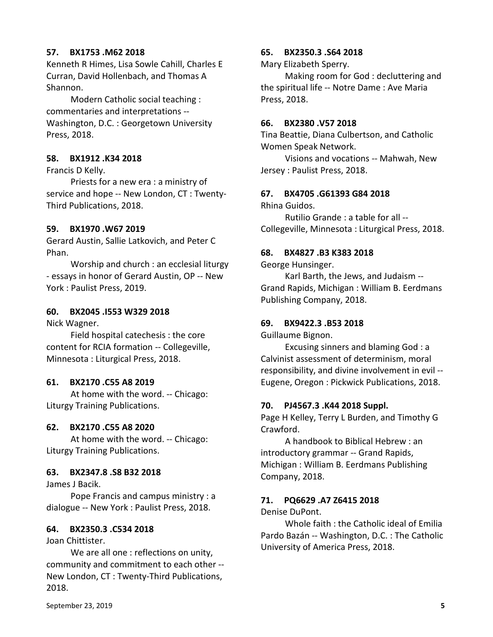## **57. BX1753 .M62 2018**

Kenneth R Himes, Lisa Sowle Cahill, Charles E Curran, David Hollenbach, and Thomas A Shannon.

Modern Catholic social teaching : commentaries and interpretations -- Washington, D.C. : Georgetown University Press, 2018.

#### **58. BX1912 .K34 2018**

Francis D Kelly.

Priests for a new era : a ministry of service and hope -- New London, CT : Twenty-Third Publications, 2018.

#### **59. BX1970 .W67 2019**

Gerard Austin, Sallie Latkovich, and Peter C Phan.

Worship and church : an ecclesial liturgy - essays in honor of Gerard Austin, OP -- New York : Paulist Press, 2019.

#### **60. BX2045 .I553 W329 2018**

Nick Wagner.

Field hospital catechesis : the core content for RCIA formation -- Collegeville, Minnesota : Liturgical Press, 2018.

#### **61. BX2170 .C55 A8 2019**

At home with the word. -- Chicago: Liturgy Training Publications.

#### **62. BX2170 .C55 A8 2020**

At home with the word. -- Chicago: Liturgy Training Publications.

#### **63. BX2347.8 .S8 B32 2018**

James J Bacik.

Pope Francis and campus ministry : a dialogue -- New York : Paulist Press, 2018.

#### **64. BX2350.3 .C534 2018**

Joan Chittister.

We are all one : reflections on unity, community and commitment to each other -- New London, CT : Twenty-Third Publications, 2018.

#### **65. BX2350.3 .S64 2018**

Mary Elizabeth Sperry.

Making room for God : decluttering and the spiritual life -- Notre Dame : Ave Maria Press, 2018.

#### **66. BX2380 .V57 2018**

Tina Beattie, Diana Culbertson, and Catholic Women Speak Network.

Visions and vocations -- Mahwah, New Jersey : Paulist Press, 2018.

#### **67. BX4705 .G61393 G84 2018**

Rhina Guidos.

Rutilio Grande : a table for all -- Collegeville, Minnesota : Liturgical Press, 2018.

#### **68. BX4827 .B3 K383 2018**

George Hunsinger.

Karl Barth, the Jews, and Judaism -- Grand Rapids, Michigan : William B. Eerdmans Publishing Company, 2018.

#### **69. BX9422.3 .B53 2018**

Guillaume Bignon.

Excusing sinners and blaming God : a Calvinist assessment of determinism, moral responsibility, and divine involvement in evil -- Eugene, Oregon : Pickwick Publications, 2018.

#### **70. PJ4567.3 .K44 2018 Suppl.**

Page H Kelley, Terry L Burden, and Timothy G Crawford.

A handbook to Biblical Hebrew : an introductory grammar -- Grand Rapids, Michigan : William B. Eerdmans Publishing Company, 2018.

#### **71. PQ6629 .A7 Z6415 2018**

Denise DuPont.

Whole faith : the Catholic ideal of Emilia Pardo Bazán -- Washington, D.C. : The Catholic University of America Press, 2018.